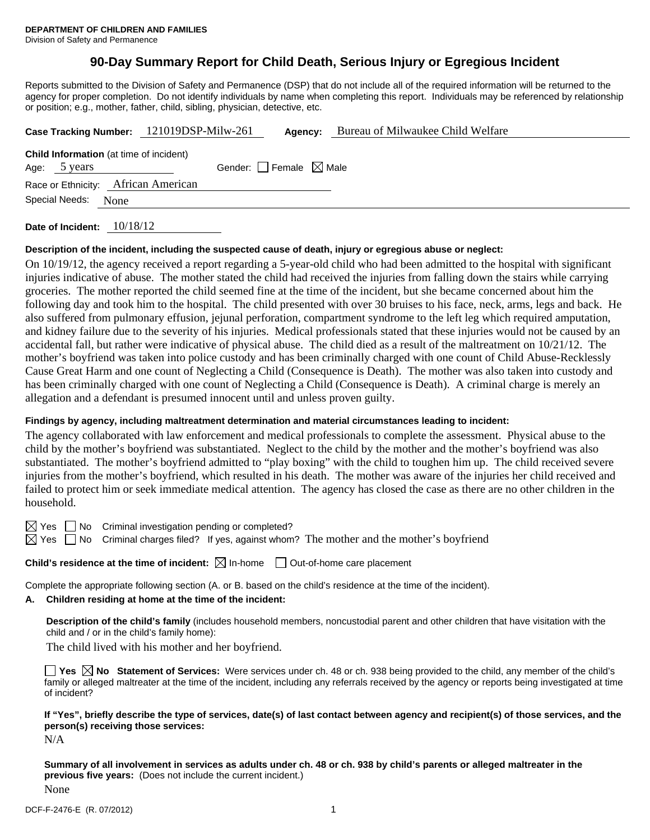# **90-Day Summary Report for Child Death, Serious Injury or Egregious Incident**

Reports submitted to the Division of Safety and Permanence (DSP) that do not include all of the required information will be returned to the agency for proper completion. Do not identify individuals by name when completing this report. Individuals may be referenced by relationship or position; e.g., mother, father, child, sibling, physician, detective, etc.

|                                                | Case Tracking Number: 121019DSP-Milw-261 | Bureau of Milwaukee Child Welfare<br>Agency: |
|------------------------------------------------|------------------------------------------|----------------------------------------------|
| <b>Child Information</b> (at time of incident) |                                          |                                              |
| Age: 5 years                                   | Gender: Female $\boxtimes$ Male          |                                              |
| Race or Ethnicity: African American            |                                          |                                              |
| Special Needs:<br>None                         |                                          |                                              |
|                                                | .                                        |                                              |

**Date of Incident:** 10/18/12

#### **Description of the incident, including the suspected cause of death, injury or egregious abuse or neglect:**

On 10/19/12, the agency received a report regarding a 5-year-old child who had been admitted to the hospital with significant injuries indicative of abuse. The mother stated the child had received the injuries from falling down the stairs while carrying groceries. The mother reported the child seemed fine at the time of the incident, but she became concerned about him the following day and took him to the hospital. The child presented with over 30 bruises to his face, neck, arms, legs and back. He also suffered from pulmonary effusion, jejunal perforation, compartment syndrome to the left leg which required amputation, and kidney failure due to the severity of his injuries. Medical professionals stated that these injuries would not be caused by an accidental fall, but rather were indicative of physical abuse. The child died as a result of the maltreatment on 10/21/12. The mother's boyfriend was taken into police custody and has been criminally charged with one count of Child Abuse-Recklessly Cause Great Harm and one count of Neglecting a Child (Consequence is Death). The mother was also taken into custody and has been criminally charged with one count of Neglecting a Child (Consequence is Death). A criminal charge is merely an allegation and a defendant is presumed innocent until and unless proven guilty.

### **Findings by agency, including maltreatment determination and material circumstances leading to incident:**

The agency collaborated with law enforcement and medical professionals to complete the assessment. Physical abuse to the child by the mother's boyfriend was substantiated. Neglect to the child by the mother and the mother's boyfriend was also substantiated. The mother's boyfriend admitted to "play boxing" with the child to toughen him up. The child received severe injuries from the mother's boyfriend, which resulted in his death. The mother was aware of the injuries her child received and failed to protect him or seek immediate medical attention. The agency has closed the case as there are no other children in the household.

 $\boxtimes$  Yes  $\Box$  No Criminal investigation pending or completed?

 $\boxtimes$  Yes  $\Box$  No Criminal charges filed? If yes, against whom? The mother and the mother's boyfriend

**Child's residence at the time of incident:**  $\boxtimes$  In-home  $\Box$  Out-of-home care placement

Complete the appropriate following section (A. or B. based on the child's residence at the time of the incident).

### **A. Children residing at home at the time of the incident:**

**Description of the child's family** (includes household members, noncustodial parent and other children that have visitation with the child and / or in the child's family home):

The child lived with his mother and her boyfriend.

■ Yes **No** Statement of Services: Were services under ch. 48 or ch. 938 being provided to the child, any member of the child's family or alleged maltreater at the time of the incident, including any referrals received by the agency or reports being investigated at time of incident?

**If "Yes", briefly describe the type of services, date(s) of last contact between agency and recipient(s) of those services, and the person(s) receiving those services:** 

N/A

**Summary of all involvement in services as adults under ch. 48 or ch. 938 by child's parents or alleged maltreater in the previous five years:** (Does not include the current incident.) None